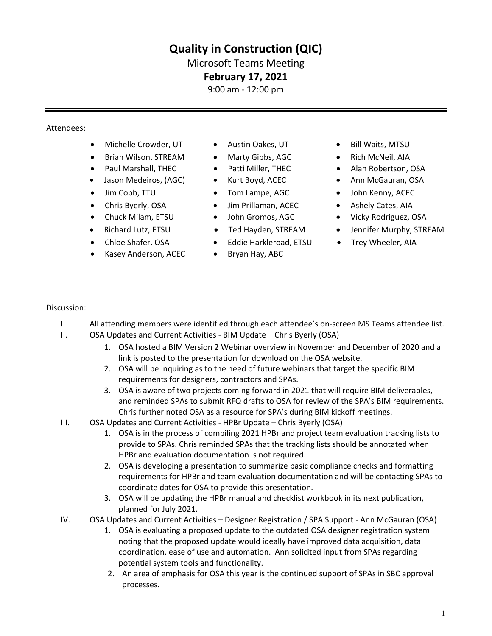# **Quality in Construction (QIC)**

### Microsoft Teams Meeting

### **February 17, 2021**

9:00 am - 12:00 pm

#### Attendees:

- Michelle Crowder, UT Austin Oakes, UT Bill Waits, MTSU
- Brian Wilson, STREAM Marty Gibbs, AGC Rich McNeil, AIA
- Paul Marshall, THEC Patti Miller, THEC Alan Robertson, OSA
- Jason Medeiros, (AGC) Kurt Boyd, ACEC Ann McGauran, OSA
- 
- 
- 
- 
- Chloe Shafer, OSA
- Kasey Anderson, ACEC
- 
- 
- 
- 
- 
- Chris Byerly, OSA Jim Prillaman, ACEC Ashely Cates, AIA
	-
	-
	- Eddie Harkleroad, ETSU
	- Bryan Hay, ABC
- 
- 
- 
- 
- Jim Cobb, TTU Tom Lampe, AGC John Kenny, ACEC
	-
- Chuck Milam, ETSU John Gromos, AGC Vicky Rodriguez, OSA
- Richard Lutz, ETSU Ted Hayden, STREAM Jennifer Murphy, STREAM
	- Trey Wheeler, AIA

#### Discussion:

- I. All attending members were identified through each attendee's on-screen MS Teams attendee list.
- II. OSA Updates and Current Activities BIM Update Chris Byerly (OSA)
	- 1. OSA hosted a BIM Version 2 Webinar overview in November and December of 2020 and a link is posted to the presentation for download on the OSA website.
	- 2. OSA will be inquiring as to the need of future webinars that target the specific BIM requirements for designers, contractors and SPAs.
	- 3. OSA is aware of two projects coming forward in 2021 that will require BIM deliverables, and reminded SPAs to submit RFQ drafts to OSA for review of the SPA's BIM requirements. Chris further noted OSA as a resource for SPA's during BIM kickoff meetings.
- III. OSA Updates and Current Activities HPBr Update Chris Byerly (OSA)
	- 1. OSA is in the process of compiling 2021 HPBr and project team evaluation tracking lists to provide to SPAs. Chris reminded SPAs that the tracking lists should be annotated when HPBr and evaluation documentation is not required.
	- 2. OSA is developing a presentation to summarize basic compliance checks and formatting requirements for HPBr and team evaluation documentation and will be contacting SPAs to coordinate dates for OSA to provide this presentation.
	- 3. OSA will be updating the HPBr manual and checklist workbook in its next publication, planned for July 2021.
- IV. OSA Updates and Current Activities Designer Registration / SPA Support Ann McGauran (OSA)
	- 1. OSA is evaluating a proposed update to the outdated OSA designer registration system noting that the proposed update would ideally have improved data acquisition, data coordination, ease of use and automation. Ann solicited input from SPAs regarding potential system tools and functionality.
	- 2. An area of emphasis for OSA this year is the continued support of SPAs in SBC approval processes.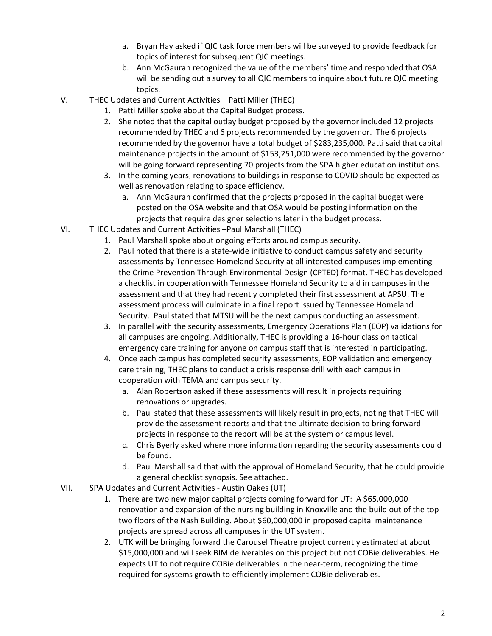- a. Bryan Hay asked if QIC task force members will be surveyed to provide feedback for topics of interest for subsequent QIC meetings.
- b. Ann McGauran recognized the value of the members' time and responded that OSA will be sending out a survey to all QIC members to inquire about future QIC meeting topics.
- V. THEC Updates and Current Activities Patti Miller (THEC)
	- 1. Patti Miller spoke about the Capital Budget process.
	- 2. She noted that the capital outlay budget proposed by the governor included 12 projects recommended by THEC and 6 projects recommended by the governor. The 6 projects recommended by the governor have a total budget of \$283,235,000. Patti said that capital maintenance projects in the amount of \$153,251,000 were recommended by the governor will be going forward representing 70 projects from the SPA higher education institutions.
	- 3. In the coming years, renovations to buildings in response to COVID should be expected as well as renovation relating to space efficiency.
		- a. Ann McGauran confirmed that the projects proposed in the capital budget were posted on the OSA website and that OSA would be posting information on the projects that require designer selections later in the budget process.
- VI. THEC Updates and Current Activities –Paul Marshall (THEC)
	- 1. Paul Marshall spoke about ongoing efforts around campus security.
	- 2. Paul noted that there is a state-wide initiative to conduct campus safety and security assessments by Tennessee Homeland Security at all interested campuses implementing the Crime Prevention Through Environmental Design (CPTED) format. THEC has developed a checklist in cooperation with Tennessee Homeland Security to aid in campuses in the assessment and that they had recently completed their first assessment at APSU. The assessment process will culminate in a final report issued by Tennessee Homeland Security. Paul stated that MTSU will be the next campus conducting an assessment.
	- 3. In parallel with the security assessments, Emergency Operations Plan (EOP) validations for all campuses are ongoing. Additionally, THEC is providing a 16-hour class on tactical emergency care training for anyone on campus staff that is interested in participating.
	- 4. Once each campus has completed security assessments, EOP validation and emergency care training, THEC plans to conduct a crisis response drill with each campus in cooperation with TEMA and campus security.
		- a. Alan Robertson asked if these assessments will result in projects requiring renovations or upgrades.
		- b. Paul stated that these assessments will likely result in projects, noting that THEC will provide the assessment reports and that the ultimate decision to bring forward projects in response to the report will be at the system or campus level.
		- c. Chris Byerly asked where more information regarding the security assessments could be found.
		- d. Paul Marshall said that with the approval of Homeland Security, that he could provide a general checklist synopsis. See attached.
- VII. SPA Updates and Current Activities Austin Oakes (UT)
	- 1. There are two new major capital projects coming forward for UT: A \$65,000,000 renovation and expansion of the nursing building in Knoxville and the build out of the top two floors of the Nash Building. About \$60,000,000 in proposed capital maintenance projects are spread across all campuses in the UT system.
	- 2. UTK will be bringing forward the Carousel Theatre project currently estimated at about \$15,000,000 and will seek BIM deliverables on this project but not COBie deliverables. He expects UT to not require COBie deliverables in the near-term, recognizing the time required for systems growth to efficiently implement COBie deliverables.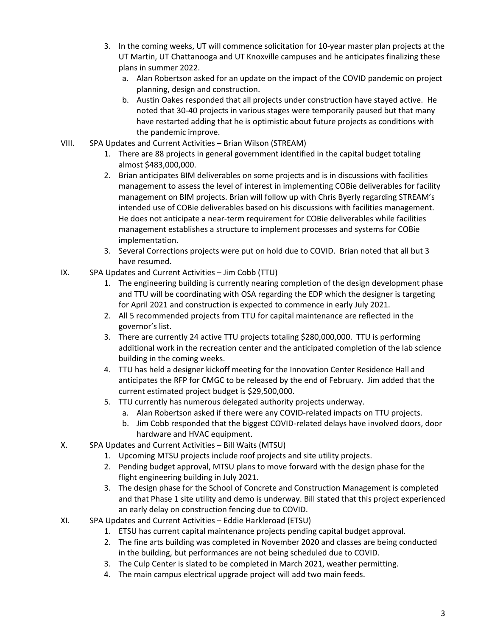- 3. In the coming weeks, UT will commence solicitation for 10-year master plan projects at the UT Martin, UT Chattanooga and UT Knoxville campuses and he anticipates finalizing these plans in summer 2022.
	- a. Alan Robertson asked for an update on the impact of the COVID pandemic on project planning, design and construction.
	- b. Austin Oakes responded that all projects under construction have stayed active. He noted that 30-40 projects in various stages were temporarily paused but that many have restarted adding that he is optimistic about future projects as conditions with the pandemic improve.
- VIII. SPA Updates and Current Activities Brian Wilson (STREAM)
	- 1. There are 88 projects in general government identified in the capital budget totaling almost \$483,000,000.
	- 2. Brian anticipates BIM deliverables on some projects and is in discussions with facilities management to assess the level of interest in implementing COBie deliverables for facility management on BIM projects. Brian will follow up with Chris Byerly regarding STREAM's intended use of COBie deliverables based on his discussions with facilities management. He does not anticipate a near-term requirement for COBie deliverables while facilities management establishes a structure to implement processes and systems for COBie implementation.
	- 3. Several Corrections projects were put on hold due to COVID. Brian noted that all but 3 have resumed.
- IX. SPA Updates and Current Activities Jim Cobb (TTU)
	- 1. The engineering building is currently nearing completion of the design development phase and TTU will be coordinating with OSA regarding the EDP which the designer is targeting for April 2021 and construction is expected to commence in early July 2021.
	- 2. All 5 recommended projects from TTU for capital maintenance are reflected in the governor's list.
	- 3. There are currently 24 active TTU projects totaling \$280,000,000. TTU is performing additional work in the recreation center and the anticipated completion of the lab science building in the coming weeks.
	- 4. TTU has held a designer kickoff meeting for the Innovation Center Residence Hall and anticipates the RFP for CMGC to be released by the end of February. Jim added that the current estimated project budget is \$29,500,000.
	- 5. TTU currently has numerous delegated authority projects underway.
		- a. Alan Robertson asked if there were any COVID-related impacts on TTU projects.
		- b. Jim Cobb responded that the biggest COVID-related delays have involved doors, door hardware and HVAC equipment.
- X. SPA Updates and Current Activities Bill Waits (MTSU)
	- 1. Upcoming MTSU projects include roof projects and site utility projects.
	- 2. Pending budget approval, MTSU plans to move forward with the design phase for the flight engineering building in July 2021.
	- 3. The design phase for the School of Concrete and Construction Management is completed and that Phase 1 site utility and demo is underway. Bill stated that this project experienced an early delay on construction fencing due to COVID.
- XI. SPA Updates and Current Activities Eddie Harkleroad (ETSU)
	- 1. ETSU has current capital maintenance projects pending capital budget approval.
	- 2. The fine arts building was completed in November 2020 and classes are being conducted in the building, but performances are not being scheduled due to COVID.
	- 3. The Culp Center is slated to be completed in March 2021, weather permitting.
	- 4. The main campus electrical upgrade project will add two main feeds.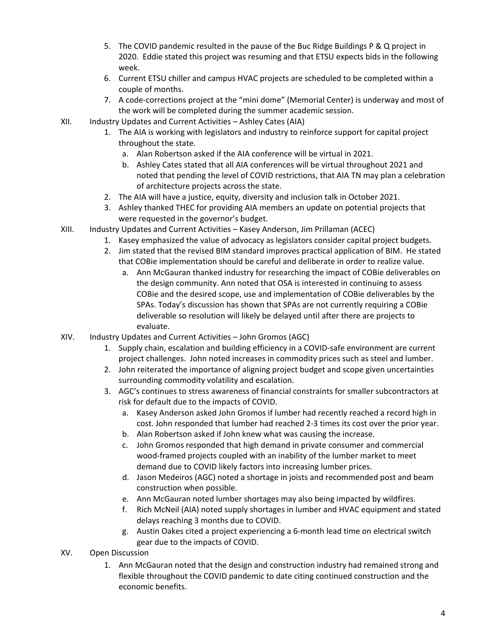- 5. The COVID pandemic resulted in the pause of the Buc Ridge Buildings P & Q project in 2020. Eddie stated this project was resuming and that ETSU expects bids in the following week.
- 6. Current ETSU chiller and campus HVAC projects are scheduled to be completed within a couple of months.
- 7. A code-corrections project at the "mini dome" (Memorial Center) is underway and most of the work will be completed during the summer academic session.
- XII. Industry Updates and Current Activities Ashley Cates (AIA)
	- 1. The AIA is working with legislators and industry to reinforce support for capital project throughout the state.
		- a. Alan Robertson asked if the AIA conference will be virtual in 2021.
		- b. Ashley Cates stated that all AIA conferences will be virtual throughout 2021 and noted that pending the level of COVID restrictions, that AIA TN may plan a celebration of architecture projects across the state.
	- 2. The AIA will have a justice, equity, diversity and inclusion talk in October 2021.
	- 3. Ashley thanked THEC for providing AIA members an update on potential projects that were requested in the governor's budget.
- XIII. Industry Updates and Current Activities Kasey Anderson, Jim Prillaman (ACEC)
	- 1. Kasey emphasized the value of advocacy as legislators consider capital project budgets.
	- 2. Jim stated that the revised BIM standard improves practical application of BIM. He stated that COBie implementation should be careful and deliberate in order to realize value.
		- a. Ann McGauran thanked industry for researching the impact of COBie deliverables on the design community. Ann noted that OSA is interested in continuing to assess COBie and the desired scope, use and implementation of COBie deliverables by the SPAs. Today's discussion has shown that SPAs are not currently requiring a COBie deliverable so resolution will likely be delayed until after there are projects to evaluate.
- XIV. Industry Updates and Current Activities John Gromos (AGC)
	- 1. Supply chain, escalation and building efficiency in a COVID-safe environment are current project challenges. John noted increases in commodity prices such as steel and lumber.
	- 2. John reiterated the importance of aligning project budget and scope given uncertainties surrounding commodity volatility and escalation.
	- 3. AGC's continues to stress awareness of financial constraints for smaller subcontractors at risk for default due to the impacts of COVID.
		- a. Kasey Anderson asked John Gromos if lumber had recently reached a record high in cost. John responded that lumber had reached 2-3 times its cost over the prior year.
		- b. Alan Robertson asked if John knew what was causing the increase.
		- c. John Gromos responded that high demand in private consumer and commercial wood-framed projects coupled with an inability of the lumber market to meet demand due to COVID likely factors into increasing lumber prices.
		- d. Jason Medeiros (AGC) noted a shortage in joists and recommended post and beam construction when possible.
		- e. Ann McGauran noted lumber shortages may also being impacted by wildfires.
		- f. Rich McNeil (AIA) noted supply shortages in lumber and HVAC equipment and stated delays reaching 3 months due to COVID.
		- g. Austin Oakes cited a project experiencing a 6-month lead time on electrical switch gear due to the impacts of COVID.
- XV. Open Discussion
	- 1. Ann McGauran noted that the design and construction industry had remained strong and flexible throughout the COVID pandemic to date citing continued construction and the economic benefits.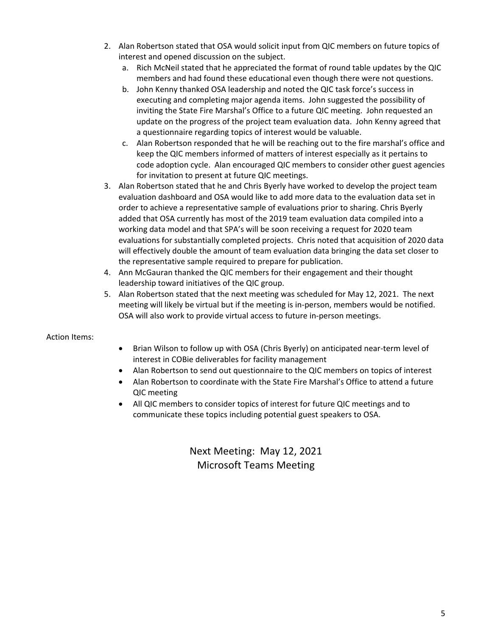- 2. Alan Robertson stated that OSA would solicit input from QIC members on future topics of interest and opened discussion on the subject.
	- a. Rich McNeil stated that he appreciated the format of round table updates by the QIC members and had found these educational even though there were not questions.
	- b. John Kenny thanked OSA leadership and noted the QIC task force's success in executing and completing major agenda items. John suggested the possibility of inviting the State Fire Marshal's Office to a future QIC meeting. John requested an update on the progress of the project team evaluation data. John Kenny agreed that a questionnaire regarding topics of interest would be valuable.
	- c. Alan Robertson responded that he will be reaching out to the fire marshal's office and keep the QIC members informed of matters of interest especially as it pertains to code adoption cycle. Alan encouraged QIC members to consider other guest agencies for invitation to present at future QIC meetings.
- 3. Alan Robertson stated that he and Chris Byerly have worked to develop the project team evaluation dashboard and OSA would like to add more data to the evaluation data set in order to achieve a representative sample of evaluations prior to sharing. Chris Byerly added that OSA currently has most of the 2019 team evaluation data compiled into a working data model and that SPA's will be soon receiving a request for 2020 team evaluations for substantially completed projects. Chris noted that acquisition of 2020 data will effectively double the amount of team evaluation data bringing the data set closer to the representative sample required to prepare for publication.
- 4. Ann McGauran thanked the QIC members for their engagement and their thought leadership toward initiatives of the QIC group.
- 5. Alan Robertson stated that the next meeting was scheduled for May 12, 2021. The next meeting will likely be virtual but if the meeting is in-person, members would be notified. OSA will also work to provide virtual access to future in-person meetings.

### Action Items:

- Brian Wilson to follow up with OSA (Chris Byerly) on anticipated near-term level of interest in COBie deliverables for facility management
- Alan Robertson to send out questionnaire to the QIC members on topics of interest
- Alan Robertson to coordinate with the State Fire Marshal's Office to attend a future QIC meeting
- All QIC members to consider topics of interest for future QIC meetings and to communicate these topics including potential guest speakers to OSA.

Next Meeting: May 12, 2021 Microsoft Teams Meeting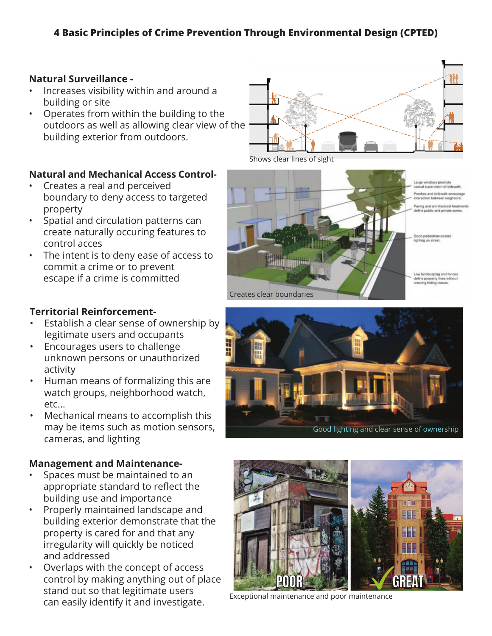## **Natural Surveillance -**

- Increases visibility within and around a building or site
- Operates from within the building to the outdoors as well as allowing clear view of the building exterior from outdoors.

## **Natural and Mechanical Access Control-**

- Creates a real and perceived boundary to deny access to targeted property
- Spatial and circulation patterns can create naturally occuring features to control acces
- The intent is to deny ease of access to commit a crime or to prevent escape if a crime is committed

## **Territorial Reinforcement-**

- Establish a clear sense of ownership by legitimate users and occupants
- Encourages users to challenge unknown persons or unauthorized activity
- Human means of formalizing this are watch groups, neighborhood watch, etc...
- Mechanical means to accomplish this may be items such as motion sensors, cameras, and lighting

### **Management and Maintenance-**

- Spaces must be maintained to an appropriate standard to reflect the building use and importance
- Properly maintained landscape and building exterior demonstrate that the property is cared for and that any irregularity will quickly be noticed and addressed
- Overlaps with the concept of access control by making anything out of place stand out so that legitimate users can easily identify it and investigate.



Shows clear lines of sight







Exceptional maintenance and poor maintenance